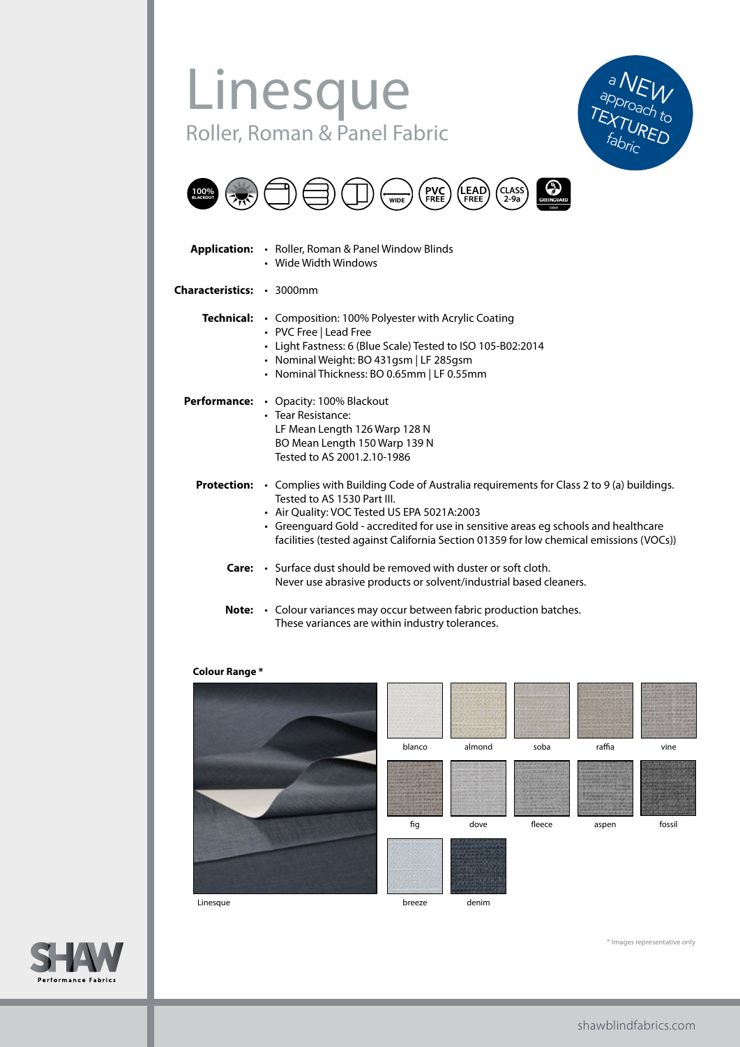## Linesque Roller, Roman & Panel Fabric





|                           | <b>Application:</b> • Roller, Roman & Panel Window Blinds<br>• Wide Width Windows                                                                                                                                                                                                                                                                                               |
|---------------------------|---------------------------------------------------------------------------------------------------------------------------------------------------------------------------------------------------------------------------------------------------------------------------------------------------------------------------------------------------------------------------------|
| Characteristics: · 3000mm |                                                                                                                                                                                                                                                                                                                                                                                 |
|                           | Technical: • Composition: 100% Polyester with Acrylic Coating<br>• PVC Free   Lead Free<br>• Light Fastness: 6 (Blue Scale) Tested to ISO 105-B02:2014<br>• Nominal Weight: BO 431gsm   LF 285gsm<br>• Nominal Thickness: BO 0.65mm   LF 0.55mm                                                                                                                                 |
|                           | <b>Performance:</b> • Opacity: 100% Blackout<br>• Tear Resistance:<br>LF Mean Length 126 Warp 128 N<br>BO Mean Length 150 Warp 139 N<br>Tested to AS 2001.2.10-1986                                                                                                                                                                                                             |
|                           | <b>Protection:</b> $\cdot$ Complies with Building Code of Australia requirements for Class 2 to 9 (a) buildings.<br>Tested to AS 1530 Part III.<br>• Air Quality: VOC Tested US EPA 5021A:2003<br>• Greenguard Gold - accredited for use in sensitive areas eg schools and healthcare<br>facilities (tested against California Section 01359 for low chemical emissions (VOCs)) |
|                           | <b>Care:</b> • Surface dust should be removed with duster or soft cloth.<br>Never use abrasive products or solvent/industrial based cleaners.                                                                                                                                                                                                                                   |
| Note:                     | • Colour variances may occur between fabric production batches.<br>These variances are within industry tolerances.                                                                                                                                                                                                                                                              |

## **Colour Range \***



\* Images representative only